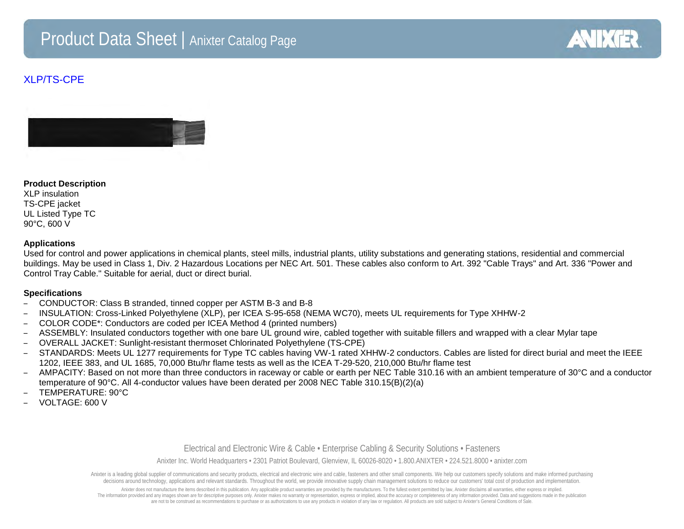# Product Data Sheet | Anixter Catalog Page



## XLP/TS-CPE



#### **Product Description**

XLP insulation TS-CPE jacket UL Listed Type TC 90°C, 600 V

#### **Applications**

Used for control and power applications in chemical plants, steel mills, industrial plants, utility substations and generating stations, residential and commercial buildings. May be used in Class 1, Div. 2 Hazardous Locations per NEC Art. 501. These cables also conform to Art. 392 "Cable Trays" and Art. 336 "Power and Control Tray Cable." Suitable for aerial, duct or direct burial.

#### **Specifications**

- CONDUCTOR: Class B stranded, tinned copper per ASTM B-3 and B-8
- INSULATION: Cross-Linked Polyethylene (XLP), per ICEA S-95-658 (NEMA WC70), meets UL requirements for Type XHHW-2
- COLOR CODE\*: Conductors are coded per ICEA Method 4 (printed numbers)
- ASSEMBLY: Insulated conductors together with one bare UL ground wire, cabled together with suitable fillers and wrapped with a clear Mylar tape
- OVERALL JACKET: Sunlight-resistant thermoset Chlorinated Polyethylene (TS-CPE)
- STANDARDS: Meets UL 1277 requirements for Type TC cables having VW-1 rated XHHW-2 conductors. Cables are listed for direct burial and meet the IEEE 1202, IEEE 383, and UL 1685, 70,000 Btu/hr flame tests as well as the ICEA T-29-520, 210,000 Btu/hr flame test
- AMPACITY: Based on not more than three conductors in raceway or cable or earth per NEC Table 310.16 with an ambient temperature of 30°C and a conductor temperature of 90°C. All 4-conductor values have been derated per 2008 NEC Table 310.15(B)(2)(a)
- TEMPERATURE: 90°C
- VOLTAGE: 600 V

#### Electrical and Electronic Wire & Cable • Enterprise Cabling & Security Solutions • Fasteners

Anixter Inc. World Headquarters • 2301 Patriot Boulevard, Glenview, IL 60026-8020 • 1.800.ANIXTER • 224.521.8000 • anixter.com

Anixter is a leading global supplier of communications and security products, electrical and electronic wire and cable, fasteners and other small components. We help our customers specify solutions and make informed purcha decisions around technology, applications and relevant standards. Throughout the world, we provide innovative supply chain management solutions to reduce our customers' total cost of production and implementation.

Anixter does not manufacture the items described in this publication. Any applicable product warranties are provided by the manufacturers. To the fullest extent permitted by law, Anixter disclaims all warranties, either ex The information provided and any images shown are for descriptive purposes only. Anixter makes no warranty or representation, express or implied, about the accuracy or completeness of any information provided. Data and sug are not to be construed as recommendations to purchase or as authorizations to use any products in violation of any law or regulation. All products are sold subject to Anixter's General Conditions of Sale.